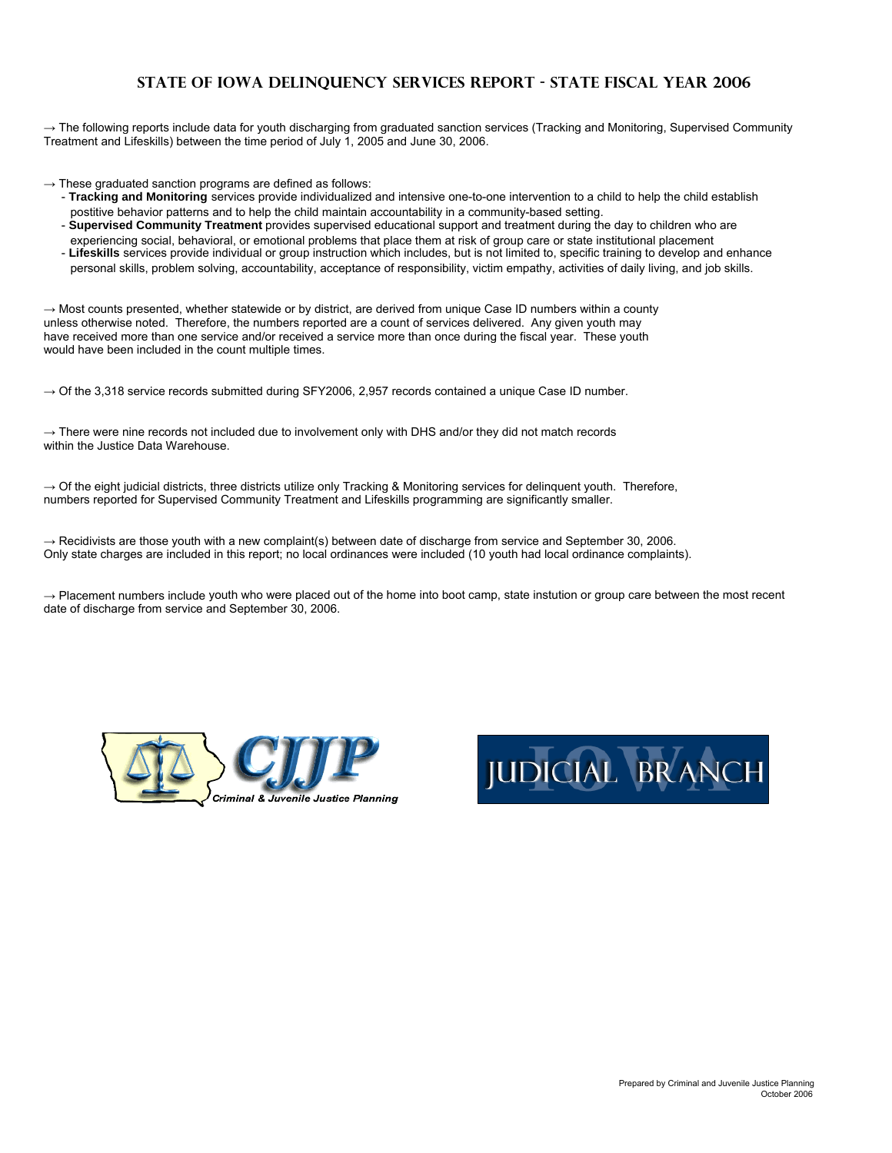# **STATE OF IOWA DELINQUENCY SERVICES REPORT - State Fiscal Year 2006**

→ The following reports include data for youth discharging from graduated sanction services (Tracking and Monitoring, Supervised Community Treatment and Lifeskills) between the time period of July 1, 2005 and June 30, 2006.

- $\rightarrow$  These graduated sanction programs are defined as follows:
	- **Tracking and Monitoring** services provide individualized and intensive one-to-one intervention to a child to help the child establish postitive behavior patterns and to help the child maintain accountability in a community-based setting.
	- **Supervised Community Treatment** provides supervised educational support and treatment during the day to children who are experiencing social, behavioral, or emotional problems that place them at risk of group care or state institutional placement
	- **Lifeskills** services provide individual or group instruction which includes, but is not limited to, specific training to develop and enhance personal skills, problem solving, accountability, acceptance of responsibility, victim empathy, activities of daily living, and job skills.

 $\rightarrow$  Most counts presented, whether statewide or by district, are derived from unique Case ID numbers within a county unless otherwise noted. Therefore, the numbers reported are a count of services delivered. Any given youth may have received more than one service and/or received a service more than once during the fiscal year. These youth would have been included in the count multiple times.

 $\rightarrow$  Of the 3,318 service records submitted during SFY2006, 2,957 records contained a unique Case ID number.

 $\rightarrow$  There were nine records not included due to involvement only with DHS and/or they did not match records within the Justice Data Warehouse.

 $\rightarrow$  Of the eight judicial districts, three districts utilize only Tracking & Monitoring services for delinguent youth. Therefore, numbers reported for Supervised Community Treatment and Lifeskills programming are significantly smaller.

 $\rightarrow$  Recidivists are those youth with a new complaint(s) between date of discharge from service and September 30, 2006. Only state charges are included in this report; no local ordinances were included (10 youth had local ordinance complaints).

 $\rightarrow$  Placement numbers include youth who were placed out of the home into boot camp, state instution or group care between the most recent date of discharge from service and September 30, 2006.



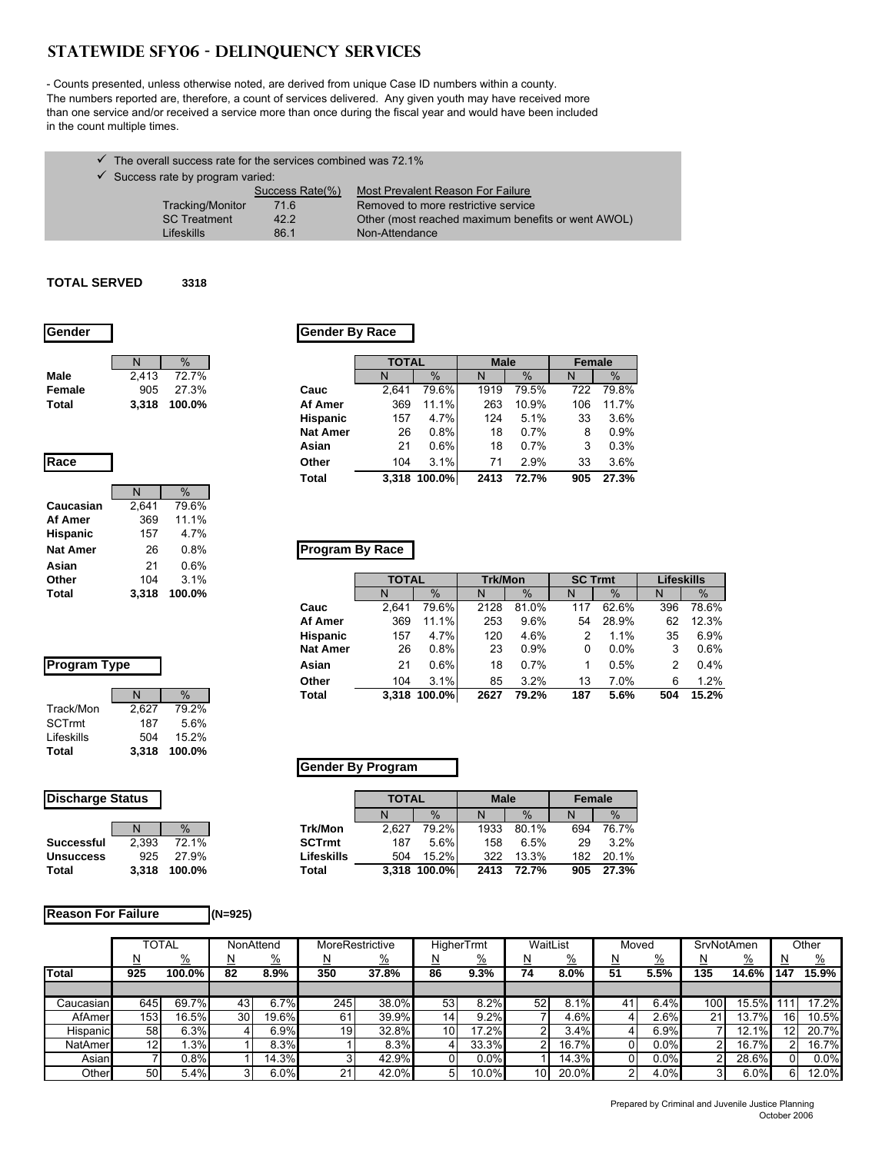# **STATEWIDE SFY06 - DELINQUENCY SERVICES**

- Counts presented, unless otherwise noted, are derived from unique Case ID numbers within a county. The numbers reported are, therefore, a count of services delivered. Any given youth may have received more than one service and/or received a service more than once during the fiscal year and would have been included in the count multiple times.

- $\checkmark$  The overall success rate for the services combined was 72.1%
- $\checkmark$  Success rate by program varied:

|                     | Success Rate(%) | Most Prevalent Reason For Failure                  |
|---------------------|-----------------|----------------------------------------------------|
| Tracking/Monitor    | 71.6            | Removed to more restrictive service                |
| <b>SC</b> Treatment | 42.2            | Other (most reached maximum benefits or went AWOL) |
| <b>Lifeskills</b>   | 86.1            | Non-Attendance                                     |

#### **TOTAL SERVED 3318**

| <b>IGender</b> |       |        |
|----------------|-------|--------|
|                | N     | $\%$   |
| Male           | 2.413 | 72.7%  |
| Female         | 905   | 27.3%  |
| Total          | 3.318 | 100.0% |

**Caucasian** 2,641 79.6%<br>**Af Amer** 369 11.1% **Af Amer** 369 **Hispanic** 157 4.7%

**Asian** 21 0.6%

N %

#### **Gender Gender By Race**

|        | N     | $\%$   |                 | <b>TOTAL</b> |              | <b>Male</b> |       | Female |       |
|--------|-------|--------|-----------------|--------------|--------------|-------------|-------|--------|-------|
| Male   | 2.413 | 72.7%  |                 | N            | $\%$         | N           | $\%$  | N      | $\%$  |
| Female | 905   | 27.3%  | Cauc            | 2.641        | 79.6%        | 1919        | 79.5% | 722    | 79.8% |
| Total  | 3.318 | 100.0% | Af Amer         | 369          | 11.1%        | 263         | 10.9% | 106    | 11.7% |
|        |       |        | <b>Hispanic</b> | 157          | 4.7%         | 124         | 5.1%  | 33     | 3.6%  |
|        |       |        | <b>Nat Amer</b> | 26           | 0.8%         | 18          | 0.7%  | 8      | 0.9%  |
|        |       |        | Asian           | 21           | 0.6%         | 18          | 0.7%  | 3      | 0.3%  |
| Race   |       |        | Other           | 104          | 3.1%         | 71          | 2.9%  | 33     | 3.6%  |
|        |       |        | Total           |              | 3,318 100.0% | 2413        | 72.7% | 905    | 27.3% |
|        |       |        |                 |              |              |             |       |        |       |

### **Nat Amer** 26 0.8% **Program By Race**

| 104          | 3.1%   |                 |       |                 |                    |                       |                |       | Lifeskills     |               |
|--------------|--------|-----------------|-------|-----------------|--------------------|-----------------------|----------------|-------|----------------|---------------|
| 3.318        | 100.0% |                 | N     | $\%$            | N                  | $\%$                  | N              | $\%$  | N              | $\frac{9}{6}$ |
|              |        | Cauc            | 2.641 |                 | 2128               | 81.0%                 | 117            | 62.6% | 396            | 78.6%         |
|              |        | Af Amer         | 369   | 11.1%           | 253                | 9.6%                  | 54             | 28.9% | 62             | 12.3%         |
|              |        | <b>Hispanic</b> | 157   | 4.7%            | 120                | 4.6%                  |                | 1.1%  | 35             | 6.9%          |
|              |        |                 |       | 0.8%            | 23                 | 0.9%                  | 0              | 0.0%  |                | 0.6%          |
| Program Type |        | Asian           | 21    | 0.6%            | 18                 | 0.7%                  |                | 0.5%  |                | 0.4%          |
|              |        | Other           | 104   | 3.1%            | 85                 | 3.2%                  | 13             | 7.0%  | 6              | 1.2%          |
| N            | $\%$   | <b>Total</b>    |       |                 | 2627               | 79.2%                 | 187            | 5.6%  | 504            | 15.2%         |
|              | - -    |                 |       | <b>Nat Amer</b> | <b>TOTAL</b><br>26 | 79.6%<br>3.318 100.0% | <b>Trk/Mon</b> |       | <b>SC Trmt</b> |               |

#### **Program Type**

|               | N     |        |
|---------------|-------|--------|
| Track/Mon     | 2,627 | 79.2%  |
| <b>SCTrmt</b> | 187   | 5.6%   |
| Lifeskills    | 504   | 15.2%  |
| Total         | 3.318 | 100.0% |

#### **Gender By Program**

| <b>Discharge Status</b> |       |                 |
|-------------------------|-------|-----------------|
|                         |       | $\sqrt{\sigma}$ |
| <b>Successful</b>       | 2.393 | 72.1%           |
| <b>Unsuccess</b>        | 925   | 27.9%           |
| Total                   | 3.318 | 100.0%          |

| <b>Discharge Status</b> |       |        |               | <b>TOTAL</b> |              | <b>Male</b> |       | Female |               |
|-------------------------|-------|--------|---------------|--------------|--------------|-------------|-------|--------|---------------|
|                         |       |        |               |              | $\%$         | N           | $\%$  | N      | $\frac{0}{0}$ |
|                         |       | $\%$   | Trk/Mon       | 2.627        | 79.2%        | 1933        | 80.1% | 694    | 76.7%         |
| Successful              | 2.393 | 72.1%  | <b>SCTrmt</b> | 187          | 5.6%         | 158         | 6.5%  | 29     | 3.2%          |
| <b>Unsuccess</b>        | 925   | 27.9%  | Lifeskills    | 504          | 15.2%        | 322         | 13.3% | 182    | 20.1%         |
| Total                   | 3.318 | 100.0% | Total         |              | 3,318 100.0% | 2413        | 72.7% | 905    | 27.3%         |

#### **Reason For Failure (N=925)**

|            | TOTAL<br>NonAttend |               |                 | <b>MoreRestrictive</b> |     |          | <b>HigherTrmt</b> | WaitList      |                 | Moved         |    | SrvNotAmen    |     |               | Other           |               |
|------------|--------------------|---------------|-----------------|------------------------|-----|----------|-------------------|---------------|-----------------|---------------|----|---------------|-----|---------------|-----------------|---------------|
|            | ⊵                  | $\frac{0}{2}$ | N               | $\frac{9}{6}$          | ≅   | <u>%</u> |                   | $\frac{9}{6}$ | N               | $\frac{0}{0}$ | N  | $\frac{9}{6}$ |     | $\frac{9}{6}$ |                 | $\frac{0}{0}$ |
| Total      | 925                | 100.0%        | 82              | 8.9%                   | 350 | 37.8%    | 86                | 9.3%          | 74              | 8.0%          | 51 | 5.5%          | 135 | 14.6%         | 147             | 15.9%         |
|            |                    |               |                 |                        |     |          |                   |               |                 |               |    |               |     |               |                 |               |
| Caucasianl | 645                | 69.7%         | 43              | 6.7%                   | 245 | 38.0%    | 53                | 8.2%          | 52              | 8.1%          | 41 | 6.4%          | 100 | 15.5%         |                 | 17.2%         |
| AfAmerl    | 153                | 16.5%         | 30 <sub>l</sub> | 19.6%                  | 61  | 39.9%    | 14                | 9.2%          |                 | 4.6%          |    | 2.6%          | 21  | 13.7%         | 16 <sub>1</sub> | 10.5%         |
| Hispanic   | 58                 | 6.3%          |                 | 6.9%                   | 19  | 32.8%    | 10                | 17.2%         | ົ               | 3.4%          |    | 6.9%          |     | 12.1%         | 12 <sub>1</sub> | 20.7%         |
| NatAmer    | 12                 | .3%           |                 | 8.3%                   |     | 8.3%     |                   | 33.3%         | ົ               | 16.7%         |    | 0.0%          | ົ   | 16.7%         | 2               | 16.7%         |
| Asian      |                    | 0.8%          |                 | 14.3%                  | 3   | 42.9%    |                   | 0.0%          |                 | 14.3%         |    | 0.0%          | ົ   | 28.6%         |                 | 0.0%          |
| Other      | 50                 | 5.4%          | 31              | 6.0%                   | 21  | 42.0%    | 5                 | 10.0%         | 10 <sub>1</sub> | 20.0%         |    | 4.0%          | 3   | 6.0%          | 6               | 2.0%          |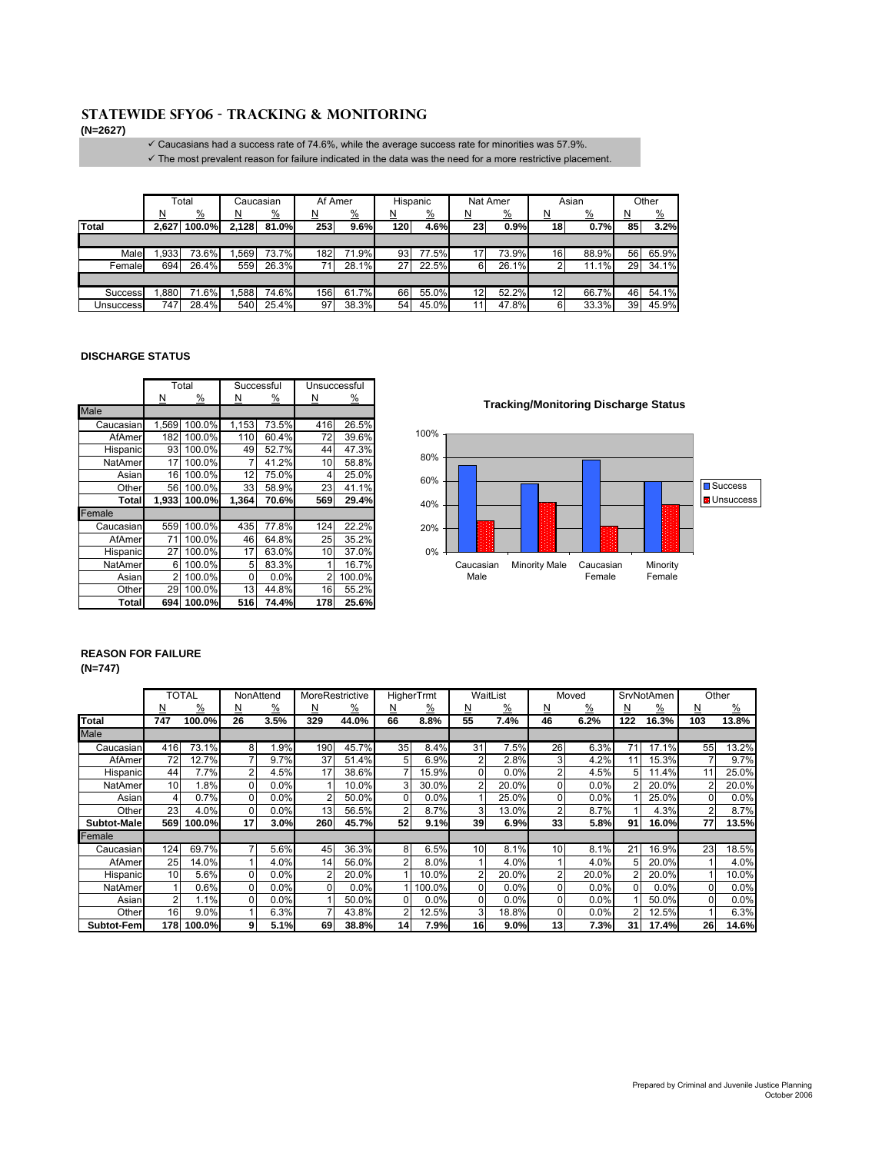# **Statewide SFY06 - TRACKING & MONITORING**

**(N=2627)**

 $\checkmark$  Caucasians had a success rate of 74.6%, while the average success rate for minorities was 57.9%.  $\checkmark$  The most prevalent reason for failure indicated in the data was the need for a more restrictive placement.

|              | Total<br>Caucasian |               | Af Amer |               |          | Hispanic      |          | Nat Amer      | Asian           |               | Other           |               |         |               |
|--------------|--------------------|---------------|---------|---------------|----------|---------------|----------|---------------|-----------------|---------------|-----------------|---------------|---------|---------------|
|              | N                  | $\frac{9}{6}$ | Ν       | $\frac{9}{6}$ | <u>N</u> | $\frac{9}{6}$ | <u>N</u> | $\frac{9}{6}$ | <u>N</u>        | $\frac{9}{6}$ | <u>N</u>        | $\frac{9}{6}$ | N<br>-- | $\frac{9}{6}$ |
| <b>Total</b> | 2,627              | 100.0%        | 2,128   | 81.0%         | 253      | 9.6%          | 120      | 4.6%          | 23 <sub>1</sub> | 0.9%          | 18 <sub>1</sub> | 0.7%          | 85      | 3.2%          |
|              |                    |               |         |               |          |               |          |               |                 |               |                 |               |         |               |
| Male         | .933               | 73.6%         | 569     | 73.7%         | 182      | 71.9%         | 93       | 77.5%         |                 | 73.9%         | 16 <sub>l</sub> | 88.9%         | 56      | 65.9%         |
| Female       | 694                | 26.4%         | 559     | 26.3%         |          | 28.1%         | 27       | 22.5%         | 61              | 26.1%         |                 | 11.1%         | 29      | 34.1%         |
|              |                    |               |         |               |          |               |          |               |                 |               |                 |               |         |               |
| Success      | .880               | .6%<br>71     | .588    | 74.6%         | 156      | 61.7%         | 66       | 55.0%         | 12              | 52.2%         | 12              | 66.7%         | 46      | 54.1%         |
| Unsuccess    | 747                | 28.4%         | 540     | 25.4%         | 97       | 38.3%         | 54       | 45.0%         |                 | 47.8%         | 61              | 33.3%         | 39      | 45.9%         |

#### **DISCHARGE STATUS**

|           |          | Total         |                    | Successful | Unsuccessful |               |  |  |
|-----------|----------|---------------|--------------------|------------|--------------|---------------|--|--|
|           | <u>N</u> | $\frac{9}{6}$ | N<br>$\frac{9}{6}$ |            | <u>N</u>     | $\frac{9}{6}$ |  |  |
| Male      |          |               |                    |            |              |               |  |  |
| Caucasian | 1,569    | 100.0%        | 1,153              | 73.5%      | 416          | 26.5%         |  |  |
| AfAmer    | 182      | 100.0%        | 110                | 60.4%      | 72           | 39.6%         |  |  |
| Hispanic  | 93       | 100.0%        | 49                 | 52.7%      | 44           | 47.3%         |  |  |
| NatAmer   | 17       | 100.0%        |                    | 41.2%      | 10           | 58.8%         |  |  |
| Asian     | 16       | 100.0%        | 12                 | 75.0%      | 4            | 25.0%         |  |  |
| Other     | 56       | 100.0%        | 33                 | 58.9%      | 23           | 41.1%         |  |  |
| Total     | 1,933    | 100.0%        | 1,364              | 70.6%      | 569          | 29.4%         |  |  |
| Female    |          |               |                    |            |              |               |  |  |
| Caucasian | 559      | 100.0%        | 435                | 77.8%      | 124          | 22.2%         |  |  |
| AfAmer    | 71       | 100.0%        | 46                 | 64.8%      | 25           | 35.2%         |  |  |
| Hispanic  | 27       | 100.0%        | 17                 | 63.0%      | 10           | 37.0%         |  |  |
| NatAmer   | 6        | 100.0%        | 5                  | 83.3%      |              | 16.7%         |  |  |
| Asian     | 2        | 100.0%        | 0                  | 0.0%       | 2            | 100.0%        |  |  |
| Other     | 29       | 100.0%        | 13                 | 44.8%      | 16           | 55.2%         |  |  |
| Total     | 694      | 100.0%        | 516                | 74.4%      | 178          | 25.6%         |  |  |

**Tracking/Monitoring Discharge Status**



#### **REASON FOR FAILURE**

#### **(N=747)** Minority Female 60.0% 40.0%

|             |     | TOTAL         |              | NonAttend     | MoreRestrictive |               |                 | <b>HigherTrmt</b> |                | WaitList |                 | Moved |               | SrvNotAmen I  |              | Other         |
|-------------|-----|---------------|--------------|---------------|-----------------|---------------|-----------------|-------------------|----------------|----------|-----------------|-------|---------------|---------------|--------------|---------------|
|             | N   | $\frac{0}{2}$ | N            | $\frac{9}{6}$ | <u>N</u>        | $\frac{9}{6}$ | N               | %                 | N              | %        | N               | %     | N             | $\frac{9}{6}$ | <u>N</u>     | $\frac{9}{6}$ |
| Total       | 747 | 100.0%        | 26           | 3.5%          | 329             | 44.0%         | 66              | 8.8%              | 55             | 7.4%     | 46              | 6.2%  | 122           | 16.3%         | 103          | 13.8%         |
| Male        |     |               |              |               |                 |               |                 |                   |                |          |                 |       |               |               |              |               |
| Caucasian   | 416 | 73.1%         | 8            | .9%           | 190             | 45.7%         | 35              | 8.4%              | 31             | 7.5%     | 26 <sup>1</sup> | 6.3%  | 71            | 17.1%         | 55           | 13.2%         |
| AfAmer      | 72  | 12.7%         |              | 9.7%          | 37              | 51.4%         | 5               | 6.9%              | $\overline{2}$ | 2.8%     | 3               | 4.2%  | 11            | 15.3%         |              | 9.7%          |
| Hispanic    | 44  | 7.7%          | 2            | 4.5%          | 17              | 38.6%         | 7               | 15.9%             | $\Omega$       | 0.0%     | 2               | 4.5%  | 5             | 11.4%         | 11           | 25.0%         |
| NatAmer     | 10  | 1.8%          | 0            | 0.0%          |                 | 10.0%         | 3               | 30.0%             | $\overline{2}$ | 20.0%    | 0               | 0.0%  |               | 20.0%         |              | 20.0%         |
| Asian       | 4   | 0.7%          | U            | 0.0%          | 2               | 50.0%         | $\Omega$        | 0.0%              |                | 25.0%    | O.              | 0.0%  |               | 25.0%         | <sup>0</sup> | 0.0%          |
| Other       | 23  | 4.0%          | <sup>0</sup> | $0.0\%$       | 13 <sub>1</sub> | 56.5%         | $\overline{2}$  | 8.7%              | 3              | 13.0%    | 2               | 8.7%  |               | 4.3%          |              | 8.7%          |
| Subtot-Male | 569 | 100.0%        | 17           | 3.0%          | 260             | 45.7%         | 52              | 9.1%              | 39             | 6.9%     | 33              | 5.8%  | 91            | 16.0%         | 77           | 13.5%         |
| Female      |     |               |              |               |                 |               |                 |                   |                |          |                 |       |               |               |              |               |
| Caucasian   | 124 | 69.7%         |              | 5.6%          | 45              | 36.3%         | 8               | 6.5%              | 10             | 8.1%     | 10 <sup>1</sup> | 8.1%  | 21            | 16.9%         | 23           | 18.5%         |
| AfAmer      | 25  | 14.0%         |              | 4.0%          | 14.             | 56.0%         | 2               | 8.0%              |                | 4.0%     |                 | 4.0%  | 5             | 20.0%         |              | 4.0%          |
| Hispanic    | 10  | 5.6%          | 0            | 0.0%          |                 | 20.0%         |                 | 10.0%             | $\overline{2}$ | 20.0%    | 2               | 20.0% |               | 20.0%         |              | 10.0%         |
| NatAmer     |     | 0.6%          | 0            | 0.0%          |                 | 0.0%          |                 | 100.0%            | $\Omega$       | 0.0%     | $\Omega$        | 0.0%  |               | 0.0%          | $\Omega$     | 0.0%          |
| Asian       | 2   | 1.1%          | U            | 0.0%          |                 | 50.0%         | $\Omega$        | 0.0%              | $\Omega$       | 0.0%     | $\Omega$        | 0.0%  |               | 50.0%         | $\Omega$     | 0.0%          |
| Other       | 16  | 9.0%          |              | 6.3%          |                 | 43.8%         | 2               | 12.5%             | 3              | 18.8%    | 0               | 0.0%  | $\mathcal{P}$ | 12.5%         |              | 6.3%          |
| Subtot-Fem  | 178 | 100.0%        | 9            | 5.1%          | 69              | 38.8%         | 14 <sub>1</sub> | 7.9%              | 16             | 9.0%     | 13              | 7.3%  | 31            | 17.4%         | 26           | 14.6%         |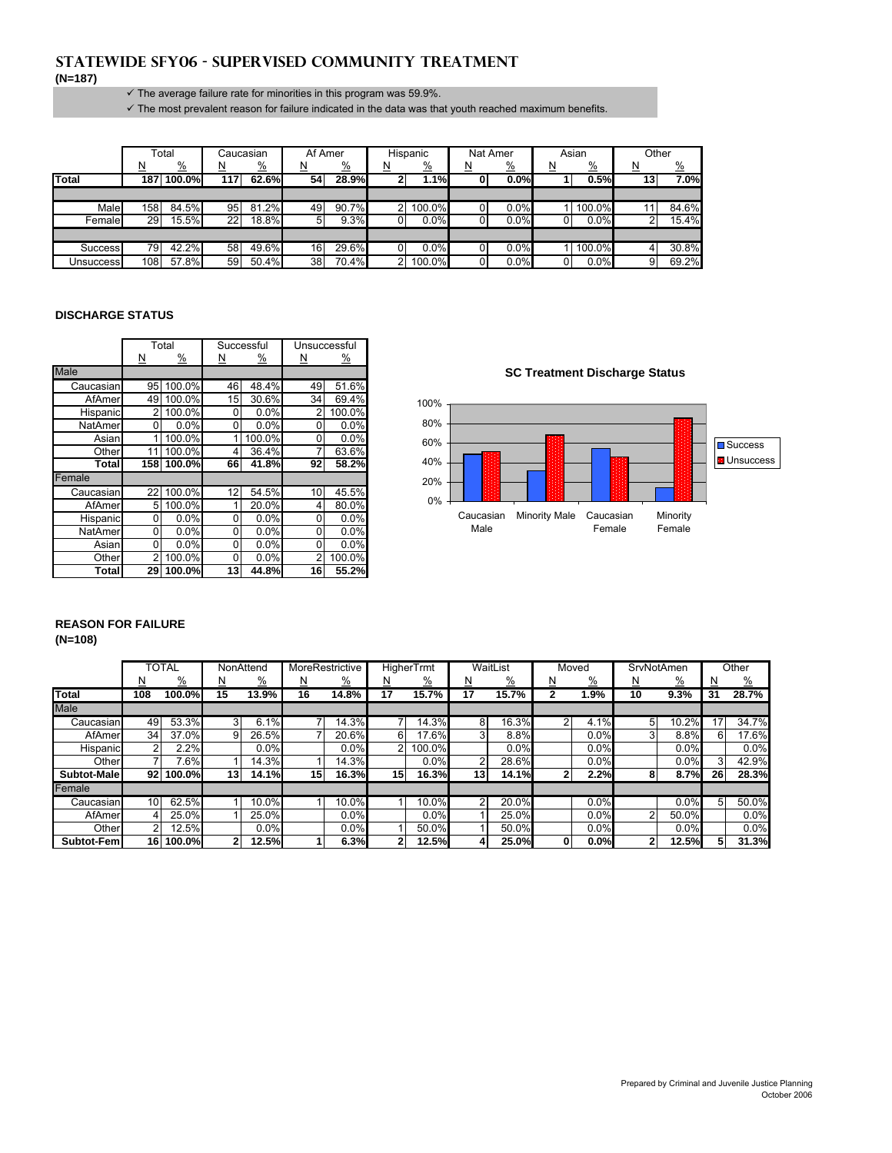### **Statewide SFY06 - SUPERVISED COMMUNITY TREATMENT (N=187)**

#### $\checkmark$  The average failure rate for minorities in this program was 59.9%.

 $\checkmark$  The most prevalent reason for failure indicated in the data was that youth reached maximum benefits.

|                |          | Total         |          | Caucasian     | Af Amer |               |          | Hispanic      | Nat Amer |               |          | Asian         | Other    |               |
|----------------|----------|---------------|----------|---------------|---------|---------------|----------|---------------|----------|---------------|----------|---------------|----------|---------------|
|                | <u>N</u> | $\frac{0}{2}$ | <u>N</u> | $\frac{0}{0}$ | N       | $\frac{9}{6}$ | <u>N</u> | $\frac{0}{2}$ | <u>N</u> | $\frac{9}{6}$ | <u>N</u> | $\frac{0}{2}$ | <u>N</u> | $\frac{9}{6}$ |
| <b>Total</b>   |          | 187 100.0%    | 117      | 62.6%         | 54      | 28.9%         |          | 1.1%          |          | 0.0%          |          | 0.5%          | 13       | 7.0%          |
|                |          |               |          |               |         |               |          |               |          |               |          |               |          |               |
| Male           | 158      | 84.5%         | 95       | 81.2%         | 49      | 90.7%         | ົ        | $100.0\%$     |          | 0.0%          |          | 100.0%        |          | 84.6%         |
| Female         | 29       | 15.5%         | 22       | 18.8%         | 5       | 9.3%          |          | $0.0\%$       |          | 0.0%          |          | 0.0%          |          | 15.4%         |
|                |          |               |          |               |         |               |          |               |          |               |          |               |          |               |
| <b>Success</b> | 79       | 42.2%         | 58       | 49.6%         | 16      | 29.6%         |          | 0.0%          |          | 0.0%          |          | 100.0%        |          | 30.8%         |
| Unsuccessl     | 108      | 57.8%         | 59       | $50.4\%$      | 38      | 70.4%         | ົ        | 100.0%        |          | 0.0%          |          | 0.0%          |          | 69.2%         |

#### **DISCHARGE STATUS**

|               |                         | Total         |    | Successful |          | Unsuccessful |                                                            |
|---------------|-------------------------|---------------|----|------------|----------|--------------|------------------------------------------------------------|
|               | $\overline{\mathsf{M}}$ | $\frac{9}{6}$ | N  | <u>%</u>   | <u>N</u> | <u>%</u>     |                                                            |
| <b>Male</b>   |                         |               |    |            |          |              | <b>SC Treatment Discharge Status</b>                       |
| Caucasian     | 95                      | 100.0%        | 46 | 48.4%      | 49       | 51.6%        |                                                            |
| <b>AfAmer</b> | 49                      | 100.0%        | 15 | 30.6%      | 34       | 69.4%        | 100%                                                       |
| Hispanic      |                         | 100.0%        | 01 | 0.0%       | 2        | 100.0%       |                                                            |
| NatAmer       | U                       | 0.0%          | ΟI | 0.0%       | 0        | 0.0%         | 80%                                                        |
| Asian         |                         | 100.0%        |    | 100.0%     | 0        | 0.0%         | 60%                                                        |
| Other         | 11                      | 100.0%        | 4  | 36.4%      | 7        | 63.6%        |                                                            |
| Total         |                         | 158 100.0%    | 66 | 41.8%      | 92       | 58.2%        | 40%                                                        |
| Female        |                         |               |    |            |          |              | 20%                                                        |
| Caucasian     | 22                      | 100.0%        | 12 | 54.5%      | 10       | 45.5%        |                                                            |
| AfAmer        | 5                       | 100.0%        |    | 20.0%      | 4        | 80.0%        | $0\%$                                                      |
| Hispanic      | 0                       | 0.0%          | 0  | 0.0%       | 0        | 0.0%         | <b>Minority Male</b><br>Caucasian<br>Caucasian<br>Minority |
| NatAmer       | 0                       | 0.0%          | 0  | 0.0%       | 0        | 0.0%         | Male<br>Female<br>Female                                   |
| Asian         | 0                       | 0.0%          | 0  | 0.0%       | 0        | 0.0%         |                                                            |
| Other         | 2                       | 100.0%        | 0  | 0.0%       | 2        | 100.0%       |                                                            |
| Total         | 29                      | 100.0%        | 13 | 44.8%      | 16       | 55.2%        |                                                            |

#### **SC Treatment Discharge Status**



### **REASON FOR FAILURE (N=108)**

|             |                 | <b>TOTAL</b>  |                 | NonAttend     | MoreRestrictive |               |                 | HigherTrmt      |                 | WaitList      | Moved    |               |                | SrvNotAmen    |    | Other         |
|-------------|-----------------|---------------|-----------------|---------------|-----------------|---------------|-----------------|-----------------|-----------------|---------------|----------|---------------|----------------|---------------|----|---------------|
|             | ⊵               | $\frac{9}{6}$ | <u>N</u>        | $\frac{9}{6}$ | <u>N</u>        | $\frac{9}{6}$ |                 | $\frac{\%}{\ }$ | N               | $\frac{9}{6}$ | <u>N</u> | $\frac{9}{6}$ | N              | $\frac{9}{6}$ | N  | $\frac{9}{6}$ |
| Total       | 108             | $100.0\%$     | 15              | 13.9%         | 16              | 14.8%         | 17              | 15.7%           | 17              | 15.7%         | 2        | 1.9%          | 10             | 9.3%          | 31 | 28.7%         |
| Male        |                 |               |                 |               |                 |               |                 |                 |                 |               |          |               |                |               |    |               |
| Caucasian   | 49              | 53.3%         | 3               | 6.1%          |                 | 14.3%         |                 | 14.3%           | 8               | 16.3%         | 2        | 4.1%          | 5              | 10.2%         | 17 | 34.7%         |
| AfAmer      | 34              | 37.0%         | ٩I              | 26.5%         |                 | 20.6%         | 6               | 17.6%           |                 | 8.8%          |          | 0.0%          | 3              | 8.8%          |    | 17.6%         |
| Hispanic    |                 | 2.2%          |                 | 0.0%          |                 | 0.0%          | 2               | 100.0%          |                 | 0.0%          |          | 0.0%          |                | 0.0%          |    | 0.0%          |
| Other       |                 | $7.6\%$       |                 | 14.3%         |                 | 14.3%         |                 | 0.0%            |                 | 28.6%         |          | 0.0%          |                | 0.0%          |    | 42.9%         |
| Subtot-Male |                 | 92 100.0%     | 13 <sub>1</sub> | 14.1%         | 15 <sup>1</sup> | 16.3%         | 15 <sup>1</sup> | 16.3%           | 13 <sub>l</sub> | 14.1%         | 2        | 2.2%          | 8              | 8.7%          | 26 | 28.3%         |
| Female      |                 |               |                 |               |                 |               |                 |                 |                 |               |          |               |                |               |    |               |
| Caucasian   | 10 <sup>1</sup> | 62.5%         |                 | 10.0%         |                 | 10.0%         |                 | 10.0%           |                 | 20.0%         |          | 0.0%          |                | 0.0%          | 5  | 50.0%         |
| AfAmer      |                 | 25.0%         |                 | 25.0%         |                 | 0.0%          |                 | 0.0%            |                 | 25.0%         |          | 0.0%          | $\overline{2}$ | 50.0%         |    | 0.0%          |
| Other       |                 | 12.5%         |                 | 0.0%          |                 | 0.0%          |                 | 50.0%           |                 | 50.0%         |          | 0.0%          |                | 0.0%          |    | 0.0%          |
| Subtot-Fem  |                 | 16 100.0%     | 2               | 12.5%         |                 | 6.3%          | $\mathbf{2}$    | 12.5%           |                 | 25.0%         | 01       | 0.0%          | 2              | 12.5%         | 5  | 31.3%         |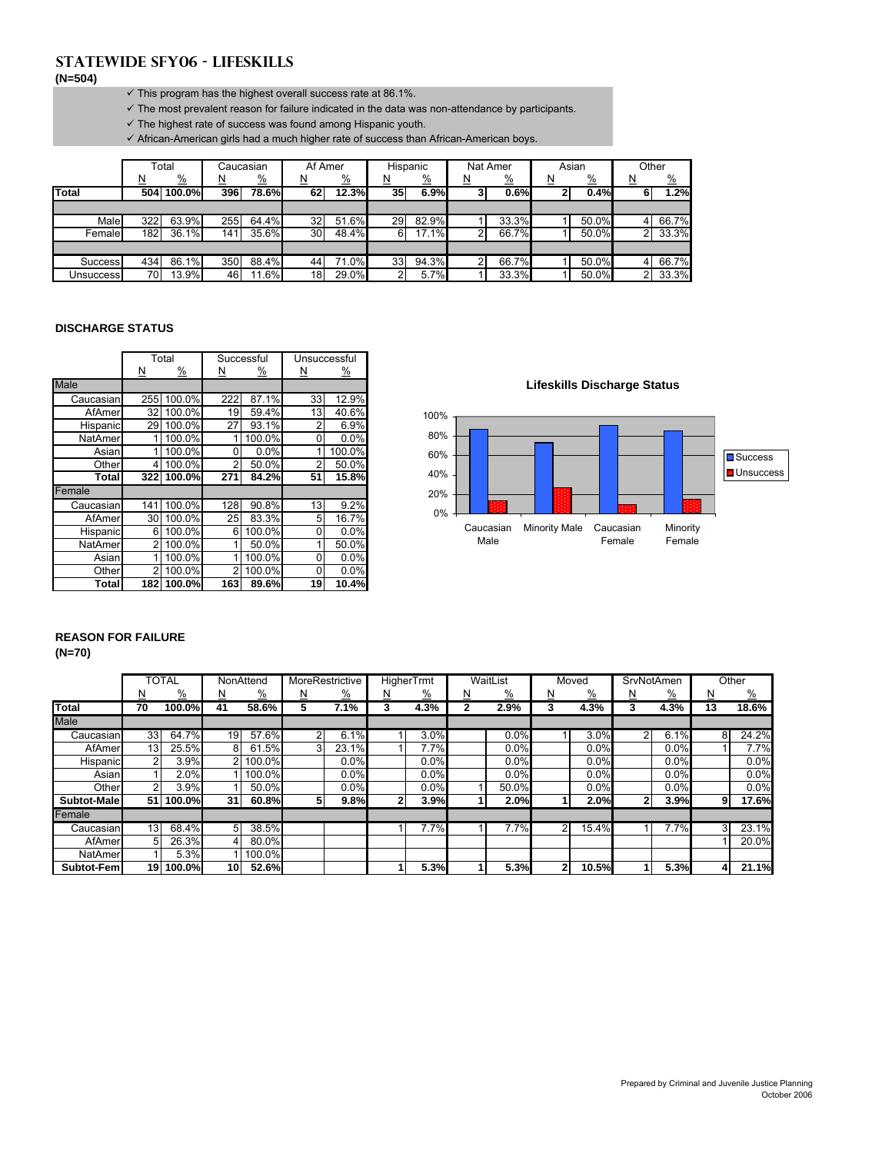# **Statewide SFY06 - LIFESKILLS**

**(N=504)**

- $\checkmark$  This program has the highest overall success rate at 86.1%.
- $\checkmark$  The most prevalent reason for failure indicated in the data was non-attendance by participants.
- $\checkmark$  The highest rate of success was found among Hispanic youth.

 $\checkmark$  African-American girls had a much higher rate of success than African-American boys.

|                  |          | Total         |     | Caucasian     | Af Amer  |               |          | Hispanic      |          | Nat Amer      |          | Asian         | Other          |               |
|------------------|----------|---------------|-----|---------------|----------|---------------|----------|---------------|----------|---------------|----------|---------------|----------------|---------------|
|                  | <u>N</u> | $\frac{0}{2}$ | N   | $\frac{9}{6}$ | <u>N</u> | $\frac{9}{6}$ | <u>N</u> | $\frac{9}{6}$ | <u>N</u> | $\frac{9}{6}$ | <u>N</u> | $\frac{9}{6}$ | N              | $\frac{9}{6}$ |
| Total            |          | 504 100.0%    | 396 | 78.6%         | 62       | 12.3%         | 35       | 6.9%          | 3        | 0.6%          | <u>ົ</u> | 0.4%          | 6              | 1.2%          |
|                  |          |               |     |               |          |               |          |               |          |               |          |               |                |               |
| Male             | 322      | 63.9%         | 255 | 64.4%         | 32       | 51.6%         | 29       | 82.9%         |          | 33.3%         |          | 50.0%         |                | 66.7%         |
| Female           | 182      | $36.1\%$      | 141 | 35.6%         | 30       | 48.4%         | 6        | 17.1%         | ົ        | 66.7%         |          | 50.0%         | $\overline{2}$ | 33.3%         |
|                  |          |               |     |               |          |               |          |               |          |               |          |               |                |               |
| <b>Success</b>   | 434      | 86.1%         | 350 | 88.4%         | 44       | 71.0%         | 33       | 94.3%         | າ        | 66.7%         |          | $50.0\%$      |                | 66.7%         |
| <b>Unsuccess</b> | 70       | 13.9%         | 46  | 11.6%         | 18       | 29.0%         | ົ        | 5.7%          |          | 33.3%         |          | 50.0%         | ົ              | 33.3%         |

#### **DISCHARGE STATUS**

|             |                         | Total         |                | Successful |                | Unsuccessful |                                                            |
|-------------|-------------------------|---------------|----------------|------------|----------------|--------------|------------------------------------------------------------|
|             | $\overline{\mathsf{N}}$ | $\frac{9}{6}$ | <u>N</u>       | <u>%</u>   | <u>N</u>       | <u>%</u>     |                                                            |
| <b>Male</b> |                         |               |                |            |                |              | <b>Lifeskills Discharge Status</b>                         |
| Caucasian   |                         | 255 100.0%    | 222            | 87.1%      | 33             | 12.9%        |                                                            |
| AfAmerl     | 32 <sub>l</sub>         | 100.0%        | 19             | 59.4%      | 13             | 40.6%        | 100%                                                       |
| Hispanic    |                         | 29 100.0%     | 27             | 93.1%      | 2              | 6.9%         |                                                            |
| NatAmer     |                         | 100.0%        |                | 100.0%     | 0              | 0.0%         | 80%                                                        |
| Asian       |                         | 100.0%        | $\Omega$       | 0.0%       |                | 100.0%       | 60%                                                        |
| Other       | 4                       | 100.0%        | 2              | 50.0%      | $\overline{2}$ | 50.0%        |                                                            |
| Total       |                         | 322 100.0%    | 271            | 84.2%      | 51             | 15.8%        | 40%                                                        |
| Female      |                         |               |                |            |                |              | 20%                                                        |
| Caucasian   |                         | 141 100.0%    | 128            | 90.8%      | 13             | 9.2%         |                                                            |
| AfAmerl     |                         | 30 100.0%     | 25             | 83.3%      | 5              | 16.7%        | 0%                                                         |
| Hispanic    | 6                       | 100.0%        | 6              | 100.0%     | $\overline{0}$ | 0.0%         | <b>Minority Male</b><br>Minority<br>Caucasian<br>Caucasian |
| NatAmer     |                         | 100.0%        |                | 50.0%      |                | 50.0%        | Male<br>Female<br>Female                                   |
| Asian       |                         | 100.0%        |                | 100.0%     | 0              | 0.0%         |                                                            |
| Other       |                         | 100.0%        | $\overline{2}$ | 100.0%     | 0              | 0.0%         |                                                            |
| Total       |                         | 182 100.0%    | 163            | 89.6%      | 19             | 10.4%        |                                                            |

**Lifeskills Discharge Status**



# **REASON FOR FAILURE**

**(N=70)**

|                |                 | <b>TOTAL</b>        |                 | NonAttend       |   | MoreRestrictive |                | <b>HigherTrmt</b> |   | WaitList      |              | Moved         | SrvNotAmen   |          |    | Other         |
|----------------|-----------------|---------------------|-----------------|-----------------|---|-----------------|----------------|-------------------|---|---------------|--------------|---------------|--------------|----------|----|---------------|
|                | N               | $\frac{0}{2}$       | N               | $\frac{\%}{\%}$ | ∐ | $\frac{9}{6}$   | N              | $\frac{9}{6}$     | ∐ | $\frac{9}{6}$ | N            | $\frac{9}{6}$ | <u>N</u>     | <u>%</u> | ₫  | $\frac{9}{6}$ |
| <b>Total</b>   | 70              | 100.0%              | 41              | 58.6%           | 5 | 7.1%            | 3              | 4.3%              |   | 2.9%          | 3            | 4.3%          | 3            | 4.3%     | 13 | 18.6%         |
| <b>Male</b>    |                 |                     |                 |                 |   |                 |                |                   |   |               |              |               |              |          |    |               |
| Caucasian      | 33 <sup>1</sup> | 64.7%               | 19 <sup>°</sup> | 57.6%           |   | 6.1%            |                | 3.0%              |   | 0.0%          |              | 3.0%          | 2            | 6.1%     | 8  | 24.2%         |
| AfAmer         | 13 <sub>1</sub> | 25.5%               | 81              | 61.5%           |   | 23.1%           |                | 7.7%              |   | 0.0%          |              | 0.0%          |              | 0.0%     |    | 7.7%          |
| Hispanic       |                 | 3.9%                |                 | 2 100.0%        |   | 0.0%            |                | 0.0%              |   | 0.0%          |              | 0.0%          |              | 0.0%     |    | $0.0\%$       |
| Asian          |                 | 2.0%                |                 | 100.0%          |   | 0.0%            |                | 0.0%              |   | 0.0%          |              | 0.0%          |              | 0.0%     |    | $0.0\%$       |
| Other          |                 | 3.9%                |                 | $50.0\%$        |   | 0.0%            |                | 0.0%              |   | 50.0%         |              | 0.0%          |              | 0.0%     |    | $0.0\%$       |
| Subtot-Male    |                 | 51 100.0%           | 31              | 60.8%           |   | 9.8%            | 2 <sub>1</sub> | 3.9%              |   | 2.0%          |              | 2.0%          | $\mathbf{2}$ | 3.9%     | 9  | 17.6%         |
| Female         |                 |                     |                 |                 |   |                 |                |                   |   |               |              |               |              |          |    |               |
| Caucasian      | 13 <sup>1</sup> | $68.\overline{4\%}$ | 5 <sup>1</sup>  | 38.5%           |   |                 |                | 7.7%              |   | 7.7%          | 2            | 15.4%         |              | 7.7%     | 3  | 23.1%         |
| AfAmer         | 51              | 26.3%               | 41              | $80.0\%$        |   |                 |                |                   |   |               |              |               |              |          |    | 20.0%         |
| <b>NatAmer</b> |                 | 5.3%                |                 | 100.0%          |   |                 |                |                   |   |               |              |               |              |          |    |               |
| Subtot-Fem     |                 | 19 100.0%           | 10              | 52.6%           |   |                 |                | 5.3%              |   | 5.3%          | $\mathbf{2}$ | 10.5%         |              | 5.3%     | 4  | 21.1%         |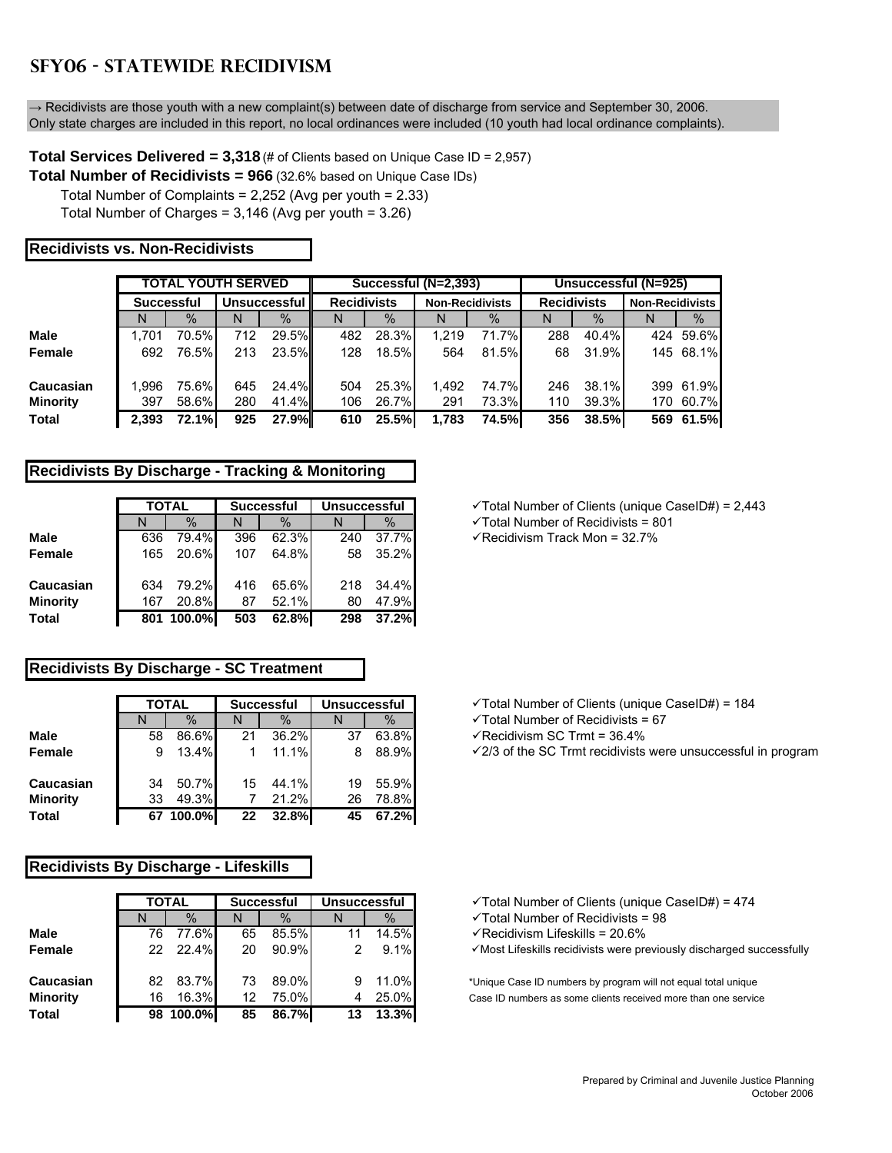# **SFY06 - STATEWIDE RECIDIVISM**

 $\rightarrow$  Recidivists are those youth with a new complaint(s) between date of discharge from service and September 30, 2006. Only state charges are included in this report, no local ordinances were included (10 youth had local ordinance complaints).

**Total Services Delivered = 3,318** (# of Clients based on Unique Case ID = 2,957)

**Total Number of Recidivists = 966** (32.6% based on Unique Case IDs)

Total Number of Complaints = 2,252 (Avg per youth = 2.33)

Total Number of Charges = 3,146 (Avg per youth = 3.26)

### **Recidivists vs. Non-Recidivists**

|                 |                   | <b>TOTAL YOUTH SERVED</b> |     |                     |                    |       | Successful (N=2,393)   |       | Unsuccessful (N=925) |       |                        |           |  |
|-----------------|-------------------|---------------------------|-----|---------------------|--------------------|-------|------------------------|-------|----------------------|-------|------------------------|-----------|--|
|                 | <b>Successful</b> |                           |     | <b>Unsuccessful</b> | <b>Recidivists</b> |       | <b>Non-Recidivists</b> |       | <b>Recidivists</b>   |       | <b>Non-Recidivists</b> |           |  |
|                 | N                 | $\%$                      | N   | $\%$                | N                  | $\%$  | N                      | $\%$  | N                    | $\%$  | N                      | $\%$      |  |
| <b>Male</b>     | 1.701             | 70.5%                     | 712 | $29.5\%$            | 482                | 28.3% | 1.219                  | 71.7% | 288                  | 40.4% |                        | 424 59.6% |  |
| Female          | 692               | 76.5%                     | 213 | 23.5%               | 128                | 18.5% | 564                    | 81.5% | 68                   | 31.9% |                        | 145 68.1% |  |
| Caucasian       | 1.996             | 75.6%                     | 645 | $24.4\%$            | 504                | 25.3% | 1.492                  | 74.7% | 246                  | 38.1% |                        | 399 61.9% |  |
| <b>Minority</b> | 397               | 58.6%                     | 280 | 41.4%               | 106                | 26.7% | 291                    | 73.3% | 110                  | 39.3% |                        | 170 60.7% |  |
| <b>Total</b>    | 2.393             | <b>72.1%</b>              | 925 | 27.9%               | 610                | 25.5% | 1,783                  | 74.5% | 356                  | 38.5% |                        | 569 61.5% |  |

### **Recidivists By Discharge - Tracking & Monitoring**

|                 |     | <b>TOTAL</b> |     | <b>Successful</b> | <b>Unsuccessful</b> |       |  |  |
|-----------------|-----|--------------|-----|-------------------|---------------------|-------|--|--|
|                 | N   | $\%$         | N   | $\%$              | N                   | $\%$  |  |  |
| <b>Male</b>     | 636 | 79.4%        | 396 | 62.3%             | 240                 | 37.7% |  |  |
| Female          | 165 | 20.6%        | 107 | 64.8%             | 58                  | 35.2% |  |  |
| Caucasian       | 634 | 79.2%        | 416 | 65.6%             | 218                 | 34.4% |  |  |
| <b>Minority</b> | 167 | 20.8%        | 87  | 52.1%             | 80                  | 47.9% |  |  |
| Total           | 801 | 100.0%       | 503 | 62.8%             | 298                 | 37.2% |  |  |

# **Recidivists By Discharge - SC Treatment**

|                 |    | <b>TOTAL</b> |    | <b>Successful</b> | <b>Unsuccessful</b> |       |
|-----------------|----|--------------|----|-------------------|---------------------|-------|
|                 | N  | $\%$         | N  | $\%$              | N                   | $\%$  |
| <b>Male</b>     | 58 | 86.6%        | 21 | 36.2%             | 37                  | 63.8% |
| Female          | 9  | 13.4%        |    | 11.1%             | 8                   | 88.9% |
| Caucasian       | 34 | 50.7%        | 15 | 44.1%             | 19                  | 55.9% |
| <b>Minority</b> | 33 | 49.3%        |    | 21.2%             | 26                  | 78.8% |
| <b>Total</b>    |    | 67 100.0%    | 22 | 32.8%             | 45                  | 67.2% |

# **Recidivists By Discharge - Lifeskills**

|                 |    | <b>TOTAL</b> |    | <b>Successful</b> | <b>Unsuccessful</b> |       |
|-----------------|----|--------------|----|-------------------|---------------------|-------|
|                 |    | $\%$         | N  | $\%$              |                     | $\%$  |
| <b>Male</b>     | 76 | 77.6%        | 65 | 85.5%             | 11                  | 14.5% |
| Female          | 22 | 22.4%        | 20 | 90.9%             | 2                   | 9.1%  |
| Caucasian       | 82 | 83.7%        | 73 | 89.0%             | 9                   | 11.0% |
| <b>Minority</b> | 16 | 16.3%        | 12 | 75.0%             | 4                   | 25.0% |
| <b>Total</b>    |    | 98 100.0%    | 85 | 86.7%             | 13                  | 13.3% |

**TOTAL Successful Unsuccessful** 9Total Number of Clients (unique CaseID#) = 2,443

 $\checkmark$  Total Number of Recidivists = 801

KRecidivism Track Mon = 32.7<sup>%</sup>

**TOTAL Successful Unsuccessful** 9Total Number of Clients (unique CaseID#) = 184

 $\checkmark$  Total Number of Recidivists = 67

KRecidivism SC Trmt = 36.4<sup>%</sup>

√2/3 of the SC Trmt recidivists were unsuccessful in program

**√Total Number of Clients (unique CaseID#) = 474** 

 $\checkmark$  Total Number of Recidivists = 98

√Recidivism Lifeskills = 20.6%

 $\checkmark$  Most Lifeskills recidivists were previously discharged successfully

\*Unique Case ID numbers by program will not equal total unique Case ID numbers as some clients received more than one service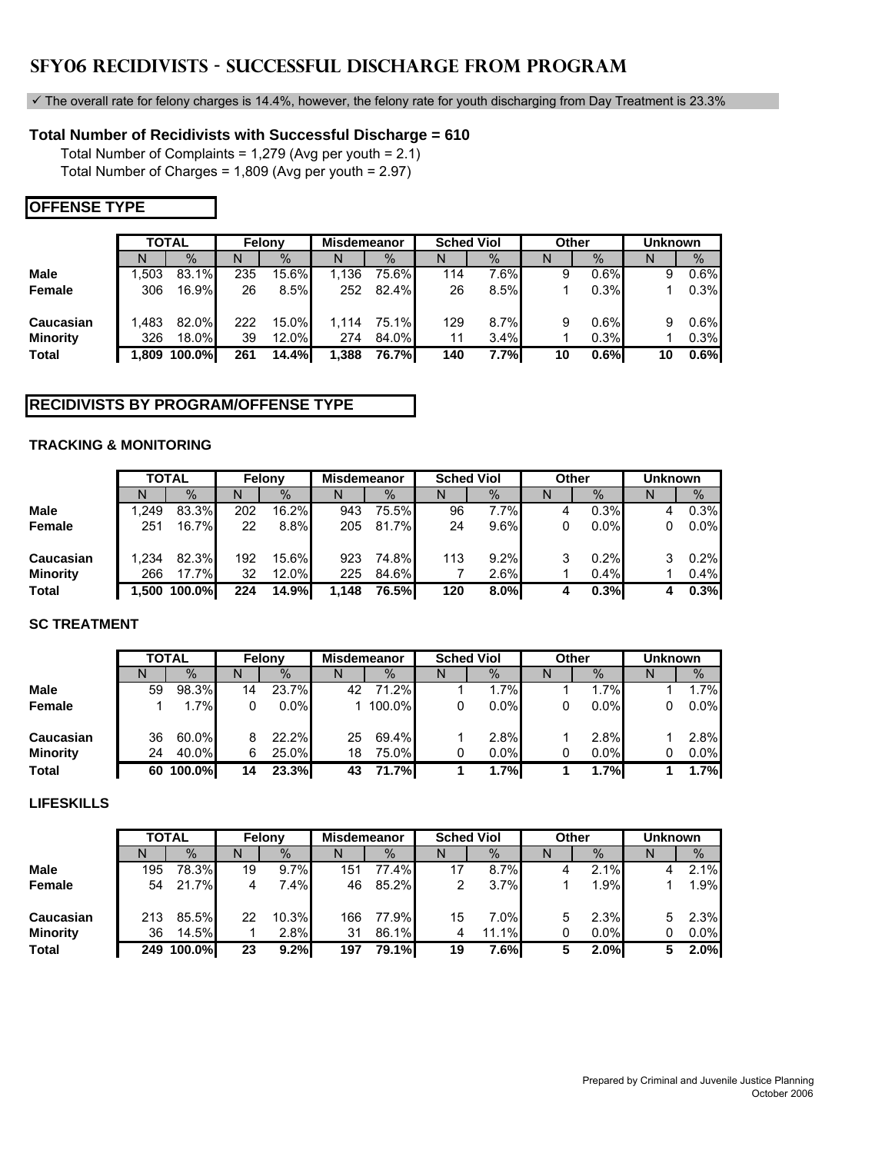# **SFY06 RECIDIVISTS - SUCCESSFUL DISCHARGE FROM PROGRAM**

 $\checkmark$  The overall rate for felony charges is 14.4%, however, the felony rate for youth discharging from Day Treatment is 23.3%

# **Total Number of Recidivists with Successful Discharge = 610**

Total Number of Complaints = 1,279 (Avg per youth = 2.1) Total Number of Charges = 1,809 (Avg per youth = 2.97)

# **OFFENSE TYPE**

|                 |       | <b>TOTAL</b> |     | Felony   | <b>Misdemeanor</b> |          | <b>Sched Viol</b> |      | Other |         | <b>Unknown</b> |      |
|-----------------|-------|--------------|-----|----------|--------------------|----------|-------------------|------|-------|---------|----------------|------|
|                 | N     | $\%$         | N   | $\%$     | N                  | $\%$     | N                 | $\%$ | N     | $\%$    |                | $\%$ |
| Male            | .503  | 83.1%        | 235 | 15.6%    | 1.136              | 75.6%    | 114               | 7.6% | 9     | $0.6\%$ | 9              | 0.6% |
| Female          | 306   | 16.9%        | 26  | 8.5%     | 252                | $82.4\%$ | 26                | 8.5% |       | $0.3\%$ |                | 0.3% |
| Caucasian       | 1.483 | 82.0%        | 222 | $15.0\%$ | 1.114              | 75.1%    | 129               | 8.7% | 9     | 0.6%    | 9              | 0.6% |
| <b>Minority</b> | 326   | 18.0%        | 39  | 12.0%    | 274                | $84.0\%$ | 11                | 3.4% |       | 0.3%    |                | 0.3% |
| <b>Total</b>    | 1.809 | 100.0%       | 261 | 14.4%    | 1,388              | 76.7%I   | 140               | 7.7% | 10    | $0.6\%$ | 10             | 0.6% |

# **RECIDIVISTS BY PROGRAM/OFFENSE TYPE**

# **TRACKING & MONITORING**

|                 |       | <b>TOTAL</b> |     | Felony | Misdemeanor |              | <b>Sched Viol</b> |      |   | Other   | <b>Unknown</b> |      |
|-----------------|-------|--------------|-----|--------|-------------|--------------|-------------------|------|---|---------|----------------|------|
|                 | N     | $\%$         | N   | $\%$   | N           | $\%$         | N                 | $\%$ | N | $\%$    |                | $\%$ |
| <b>Male</b>     | .249  | 83.3%        | 202 | 16.2%  | 943         | 75.5%        | 96                | 7.7% | 4 | 0.3%    |                | 0.3% |
| Female          | 251   | $16.7\%$     | 22  | 8.8%   | 205         | 81.7%        | 24                | 9.6% |   | $0.0\%$ |                | 0.0% |
| Caucasian       | 1.234 | 82.3%        | 192 | 15.6%  | 923         | 74.8%        | 113               | 9.2% |   | 0.2%    |                | 0.2% |
| <b>Minority</b> | 266   | 17.7%        | 32  | 12.0%  | 225         | $84.6\%$     |                   | 2.6% |   | 0.4%    |                | 0.4% |
| <b>Total</b>    |       | 1,500 100.0% | 224 | 14.9%  | 1,148       | <b>76.5%</b> | 120               | 8.0% |   | 0.3%    |                | 0.3% |

# **SC TREATMENT**

|                 |    |              | Felony |         |             |        |   |                   |       |         |                |               |
|-----------------|----|--------------|--------|---------|-------------|--------|---|-------------------|-------|---------|----------------|---------------|
|                 |    | <b>TOTAL</b> |        |         | Misdemeanor |        |   | <b>Sched Viol</b> | Other |         | <b>Unknown</b> |               |
|                 | N  | $\%$         | Ν      | $\%$    | N           | $\%$   | N | $\frac{0}{0}$     | N     | $\%$    | N              | $\frac{9}{6}$ |
| <b>Male</b>     | 59 | 98.3%        | 14     | 23.7%   | 42          | 71.2%  |   | 1.7%              |       | 1.7%    |                | $1.7\%$       |
| <b>Female</b>   |    | 1.7%         | 0      | $0.0\%$ |             | 100.0% |   | 0.0%              | 0     | $0.0\%$ |                | 0.0%          |
| Caucasian       | 36 | 60.0%        | 8      | 22.2%   | 25          | 69.4%  |   | 2.8%              |       | 2.8%    |                | 2.8%          |
| <b>Minority</b> | 24 | 40.0%        | 6      | 25.0%   | 18          | 75.0%  |   | 0.0%              | 0     | $0.0\%$ |                | 0.0%          |
| <b>Total</b>    | 60 | 100.0%       | 14     | 23.3%   | 43          | 71.7%  |   | 1.7%              |       | 1.7%    |                | 1.7%          |

# **LIFESKILLS**

|                 |     | <b>TOTAL</b> |    | Felony | <b>Misdemeanor</b> |              |    | <b>Sched Viol</b> | Other |               | <b>Unknown</b> |               |
|-----------------|-----|--------------|----|--------|--------------------|--------------|----|-------------------|-------|---------------|----------------|---------------|
|                 | N   | $\%$         |    | $\%$   | N                  | $\%$         | N  | $\%$              |       | $\frac{0}{0}$ | N              | $\frac{0}{0}$ |
| <b>Male</b>     | 195 | 78.3%        | 19 | 9.7%   | 151                | 77.4%        | 17 | 8.7%              |       | 2.1%          |                | 2.1%          |
| Female          | 54  | 21.7%        | 4  | 7.4%   | 46                 | $85.2\%$     | 2  | 3.7%              |       | 1.9%          |                | 1.9%          |
| Caucasian       | 213 | 85.5%        | 22 | 10.3%  | 166                | 77.9%        | 15 | 7.0%              | 5     | 2.3%          | 5.             | 2.3%          |
| <b>Minority</b> | 36  | 14.5%        |    | 2.8%   | 31                 | 86.1%        | 4  | 11.1%             | 0     | $0.0\%$       |                | 0.0%          |
| <b>Total</b>    | 249 | 100.0%       | 23 | 9.2%   | 197                | <b>79.1%</b> | 19 | 7.6%              |       | 2.0%          |                | 2.0%          |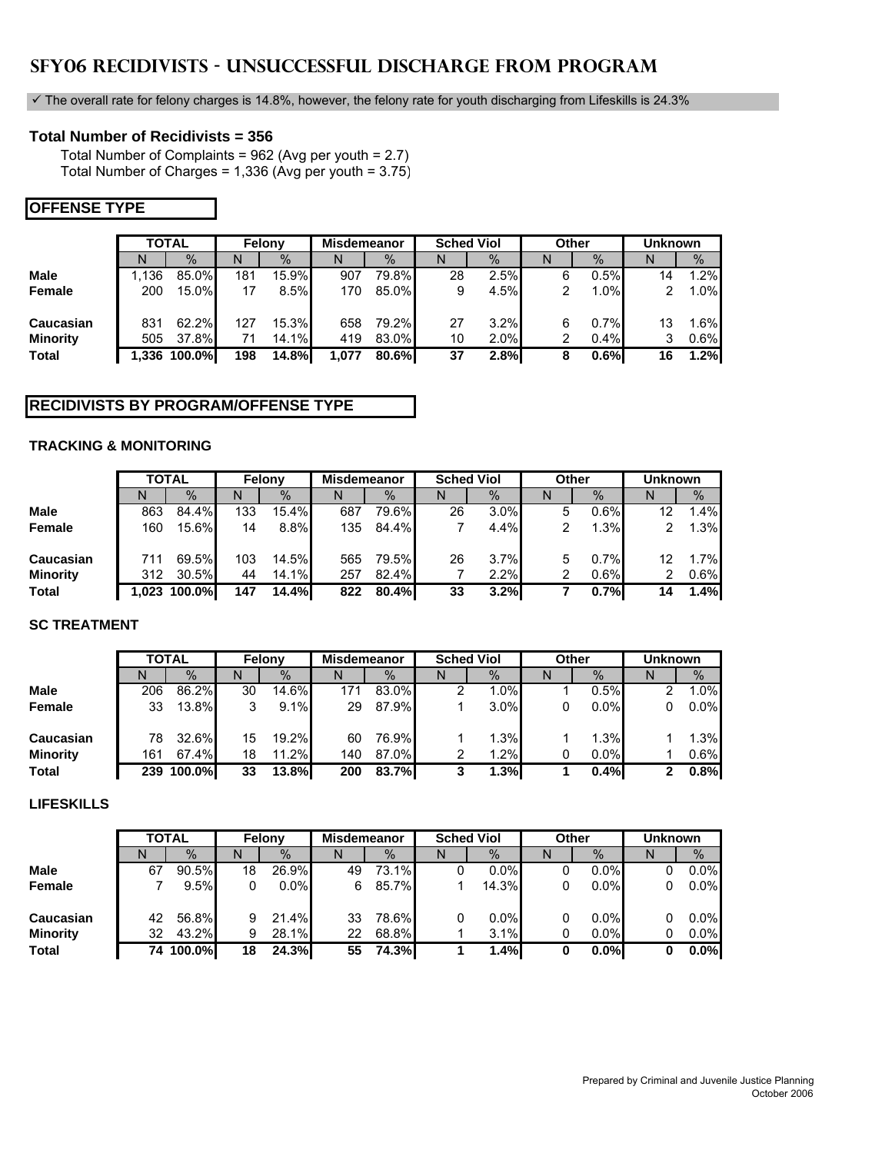# **SFY06 RECIDIVISTS - UNSUCCESSFUL DISCHARGE FROM PROGRAM**

 $\checkmark$  The overall rate for felony charges is 14.8%, however, the felony rate for youth discharging from Lifeskills is 24.3%

# **Total Number of Recidivists = 356**

Total Number of Complaints = 962 (Avg per youth = 2.7) Total Number of Charges = 1,336 (Avg per youth = 3.75)

# **OFFENSE TYPE**

|                 | <b>TOTAL</b> |              | Felony |          | <b>Misdemeanor</b> |          | <b>Sched Viol</b> |      | Other |      | <b>Unknown</b> |      |
|-----------------|--------------|--------------|--------|----------|--------------------|----------|-------------------|------|-------|------|----------------|------|
|                 | N            | $\%$         | N      | $\%$     | N                  | $\%$     | N                 | $\%$ | N     | $\%$ | N              | $\%$ |
| <b>Male</b>     | 1.136        | 85.0%        | 181    | $15.9\%$ | 907                | 79.8%    | 28                | 2.5% | 6     | 0.5% | 14             | 1.2% |
| Female          | 200          | $15.0\%$     | 17     | 8.5%     | 170                | 85.0%    | 9                 | 4.5% | 2     | 1.0% | 2              | 1.0% |
| Caucasian       | 831          | 62.2%        | 127    | $15.3\%$ | 658                | 79.2%    | 27                | 3.2% | 6     | 0.7% | 13             | 1.6% |
| <b>Minority</b> | 505          | 37.8%        | 71     | $14.1\%$ | 419                | 83.0%    | 10                | 2.0% | 2     | 0.4% |                | 0.6% |
| <b>Total</b>    |              | 1,336 100.0% | 198    | 14.8%    | 1,077              | $80.6\%$ | 37                | 2.8% | 8     | 0.6% | 16             | 1.2% |

# **RECIDIVISTS BY PROGRAM/OFFENSE TYPE**

### **TRACKING & MONITORING**

|                 | <b>TOTAL</b> |        | Felony |       | <b>Misdemeanor</b> |       | <b>Sched Viol</b> |      |   | Other   | <b>Unknown</b> |      |
|-----------------|--------------|--------|--------|-------|--------------------|-------|-------------------|------|---|---------|----------------|------|
|                 | N            | $\%$   | N      | $\%$  | N                  | $\%$  | N                 | %    | N | $\%$    |                | %    |
| <b>Male</b>     | 863          | 84.4%  | 133    | 15.4% | 687                | 79.6% | 26                | 3.0% | 5 | 0.6%    | 12             | 1.4% |
| Female          | 160          | 15.6%  | 14     | 8.8%  | 135                | 84.4% |                   | 4.4% |   | 1.3%    |                | 1.3% |
| Caucasian       |              | 69.5%  | 103    | 14.5% | 565                | 79.5% | 26                | 3.7% | 5 | 0.7%    | 12             | 1.7% |
| <b>Minority</b> | 312          | 30.5%  | 44     | 14.1% | 257                | 82.4% |                   | 2.2% |   | $0.6\%$ |                | 0.6% |
| <b>Total</b>    | 1.023        | 100.0% | 147    | 14.4% | 822                | 80.4% | 33                | 3.2% |   | 0.7%    | 14             | 1.4% |

# **SC TREATMENT**

|                 |     | <b>TOTAL</b>  | Felony |          | <b>Misdemeanor</b> |          | <b>Sched Viol</b> |               |   | Other         | <b>Unknown</b> |               |
|-----------------|-----|---------------|--------|----------|--------------------|----------|-------------------|---------------|---|---------------|----------------|---------------|
|                 | N   | $\frac{0}{0}$ | N      | $\%$     |                    | $\%$     | N                 | $\frac{0}{0}$ | N | $\frac{0}{0}$ | N              | $\frac{9}{6}$ |
| <b>Male</b>     | 206 | 86.2%         | 30     | 14.6%    | 171                | 83.0%    |                   | 1.0%          |   | 0.5%          |                | 1.0%          |
| Female          | 33  | $13.8\%$      | 3      | 9.1%     | 29                 | $87.9\%$ |                   | 3.0%          | 0 | $0.0\%$       | 0              | 0.0%          |
| Caucasian       | 78  | 32.6%         | 15     | $19.2\%$ | 60                 | 76.9%    |                   | 1.3%          |   | 1.3%          |                | 1.3%          |
| <b>Minority</b> | 161 | 67.4%         | 18     | 11.2%    | 140                | 87.0%    | 2                 | 1.2%          | 0 | $0.0\%$       |                | 0.6%          |
| <b>Total</b>    | 239 | 100.0%        | 33     | $13.8\%$ | 200                | 83.7%    | 2                 | 1.3%          |   | 0.4%          |                | 0.8%          |

### **LIFESKILLS**

|              |    | <b>TOTAL</b> |    | Felony  | <b>Misdemeanor</b> |       |    | <b>Sched Viol</b> | Other   | <b>Unknown</b> |      |
|--------------|----|--------------|----|---------|--------------------|-------|----|-------------------|---------|----------------|------|
|              | N  | $\%$         | N  | $\%$    | IN                 | $\%$  | ΙN | $\%$              | $\%$    |                | $\%$ |
| <b>Male</b>  | 67 | 90.5%        | 18 | 26.9%   | 49                 | 73.1% |    | 0.0%              | 0.0%    |                | 0.0% |
| Female       |    | 9.5%         | 0  | $0.0\%$ | 6                  | 85.7% |    | 14.3%             | 0.0%    |                | 0.0% |
| Caucasian    | 42 | 56.8%        | 9  | 21.4%   | 33                 | 78.6% |    | $0.0\%$           | $0.0\%$ |                | 0.0% |
| Minority     | 32 | 43.2%        | 9  | 28.1%   | 22                 | 68.8% |    | 3.1%              | 0.0%    |                | 0.0% |
| <b>Total</b> | 74 | 100.0%l      | 18 | 24.3%   | 55                 | 74.3% |    | 1.4%              | 0.0%    |                | 0.0% |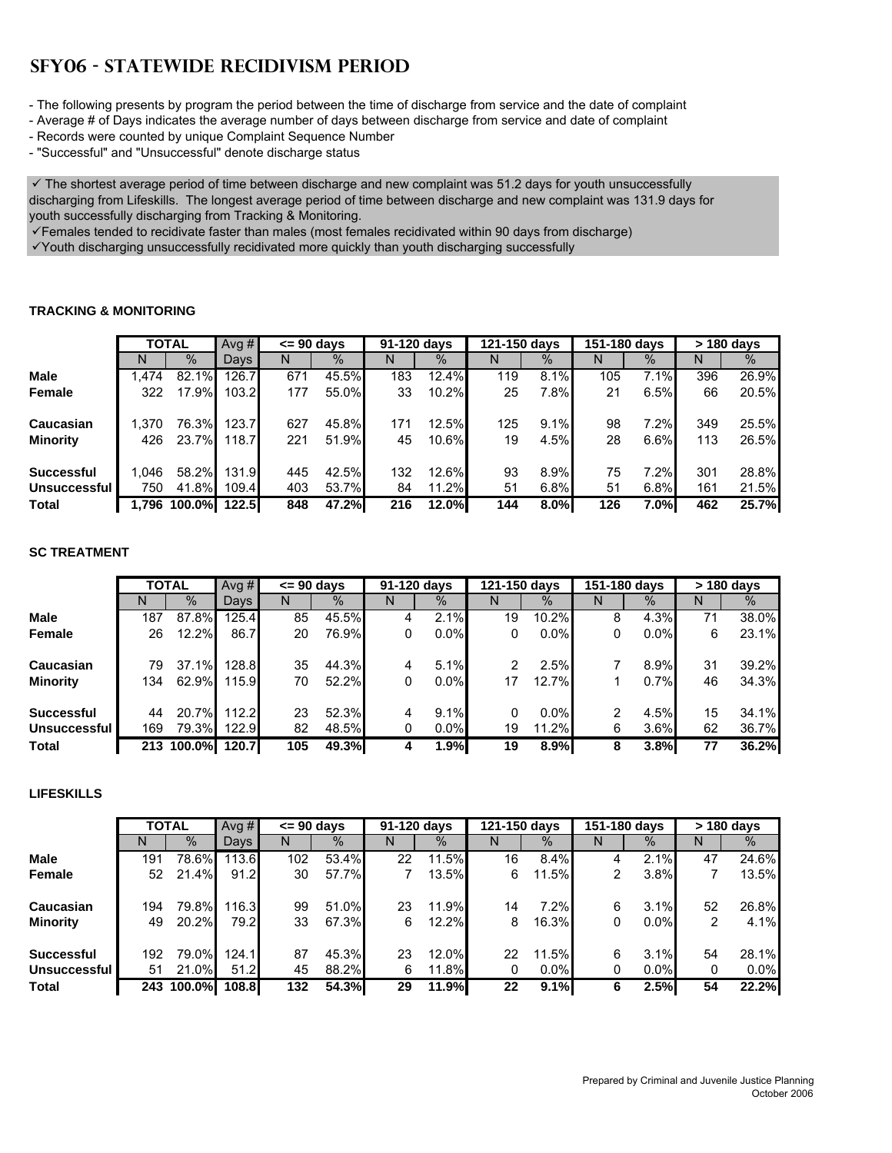# **SFY06 - STATEWIDE RECIDIVISM PERIOD**

- The following presents by program the period between the time of discharge from service and the date of complaint

- Average # of Days indicates the average number of days between discharge from service and date of complaint
- Records were counted by unique Complaint Sequence Number
- "Successful" and "Unsuccessful" denote discharge status

 $\checkmark$  The shortest average period of time between discharge and new complaint was 51.2 days for youth unsuccessfully discharging from Lifeskills. The longest average period of time between discharge and new complaint was 131.9 days for youth successfully discharging from Tracking & Monitoring.

 $\checkmark$  Females tended to recidivate faster than males (most females recidivated within 90 days from discharge)

9Youth discharging unsuccessfully recidivated more quickly than youth discharging successfully

### **TRACKING & MONITORING**

|                   |      | <b>TOTAL</b>       | Ava $#$ | $\leq$ 90 days |       | 91-120 days |          | 121-150 days |      | 151-180 days |      |     | > 180 days |
|-------------------|------|--------------------|---------|----------------|-------|-------------|----------|--------------|------|--------------|------|-----|------------|
|                   | N    | $\%$               | Davs    | N              | $\%$  | N           | $\%$     | N            | $\%$ | N            | $\%$ | N   | $\%$       |
| <b>Male</b>       | .474 | $82.1\%$           | 126.7   | 671            | 45.5% | 183         | 12.4%    | 119          | 8.1% | 105          | 7.1% | 396 | 26.9%      |
| Female            | 322  | $17.9\%$           | 103.2   | 177            | 55.0% | 33          | $10.2\%$ | 25           | 7.8% | 21           | 6.5% | 66  | 20.5%      |
| Caucasian         | .370 | 76.3%              | 123.7   | 627            | 45.8% | 171         | 12.5%    | 125          | 9.1% | 98           | 7.2% | 349 | 25.5%      |
| <b>Minority</b>   | 426  | 23.7%              | 118.7   | 221            | 51.9% | 45          | $10.6\%$ | 19           | 4.5% | 28           | 6.6% | 113 | 26.5%      |
| <b>Successful</b> | .046 | 58.2%              | 131.9   | 445            | 42.5% | 132         | 12.6%    | 93           | 8.9% | 75           | 7.2% | 301 | 28.8%      |
| Unsuccessful      | 750  | 41.8%              | 109.4   | 403            | 53.7% | 84          | $11.2\%$ | 51           | 6.8% | 51           | 6.8% | 161 | 21.5%      |
| <b>Total</b>      |      | 1.796 100.0% 122.5 |         | 848            | 47.2% | 216         | 12.0%    | 144          | 8.0% | 126          | 7.0% | 462 | 25.7%      |

## **SC TREATMENT**

|                   |     | <b>TOTAL</b> | Ava $#$ | $\leq$ 90 davs |       |   | 91-120 days | 121-150 days |         | 151-180 days |         |    | > 180 days |
|-------------------|-----|--------------|---------|----------------|-------|---|-------------|--------------|---------|--------------|---------|----|------------|
|                   | N   | $\%$         | Days    |                | $\%$  | N | $\%$        | N            | $\%$    | N            | $\%$    | N  | $\%$       |
| <b>Male</b>       | 187 | 87.8%        | 125.4   | 85             | 45.5% | 4 | 2.1%        | 19           | 10.2%   | 8            | 4.3%    | 71 | 38.0%      |
| Female            | 26  | 12.2%        | 86.7    | 20             | 76.9% | 0 | $0.0\%$     | 0            | $0.0\%$ | 0            | $0.0\%$ | 6  | 23.1%      |
| Caucasian         | 79  | 37.1%        | 128.8   | 35             | 44.3% | 4 | 5.1%        |              | 2.5%    |              | 8.9%    | 31 | 39.2%      |
| <b>Minority</b>   | 134 | 62.9%        | 115.9   | 70             | 52.2% | 0 | $0.0\%$     | 17           | 12.7%   |              | 0.7%    | 46 | 34.3%      |
| <b>Successful</b> | 44  | 20.7%        | 112.2   | 23             | 52.3% | 4 | 9.1%        | 0            | $0.0\%$ | 2            | 4.5%    | 15 | 34.1%      |
| Unsuccessful      | 169 | 79.3%        | 122.9   | 82             | 48.5% | 0 | $0.0\%$     | 19           | 11.2%   | 6            | 3.6%    | 62 | 36.7%      |
| <b>Total</b>      | 213 | 100.0%I      | 120.7   | 105            | 49.3% |   | 1.9%        | 19           | 8.9%    | 8            | 3.8%    | 77 | 36.2%      |

# **LIFESKILLS**

|                   |     | <b>TOTAL</b> | Ava $#$ | $\leq$ 90 days |       | 91-120 days |          | 121-150 days |          | 151-180 days |         | > 180 days |         |
|-------------------|-----|--------------|---------|----------------|-------|-------------|----------|--------------|----------|--------------|---------|------------|---------|
|                   | N   | $\%$         | Days I  | N              | $\%$  | N           | $\%$     | N            | $\%$     | N            | $\%$    | N          | %       |
| <b>Male</b>       | 191 | 78.6%        | 113.6   | 102            | 53.4% | 22          | 11.5%    | 16           | 8.4%     | 4            | 2.1%    | 47         | 24.6%   |
| Female            | 52  | 21.4%        | 91.2    | 30             | 57.7% |             | $13.5\%$ | 6            | $11.5\%$ | 2            | 3.8%    |            | 13.5%   |
| Caucasian         | 194 | 79.8%        | 116.3   | 99             | 51.0% | 23          | $11.9\%$ | 14           | 7.2%     | 6            | 3.1%    | 52         | 26.8%   |
| <b>Minority</b>   | 49  | 20.2%        | 79.2    | 33             | 67.3% | 6           | $12.2\%$ | 8            | $16.3\%$ | 0            | $0.0\%$ | 2          | 4.1%    |
| <b>Successful</b> | 192 | 79.0%        | 124.1   | 87             | 45.3% | 23          | 12.0%    | 22           | 11.5%    | 6            | 3.1%    | 54         | 28.1%   |
| Unsuccessful      | 51  | 21.0%        | 51.2    | 45             | 88.2% | 6           | $11.8\%$ | 0            | $0.0\%$  | 0            | $0.0\%$ | 0          | $0.0\%$ |
| <b>Total</b>      |     | 243 100.0%   | 108.8   | 132            | 54.3% | 29          | 11.9%    | 22           | 9.1%     | 6            | 2.5%    | 54         | 22.2%   |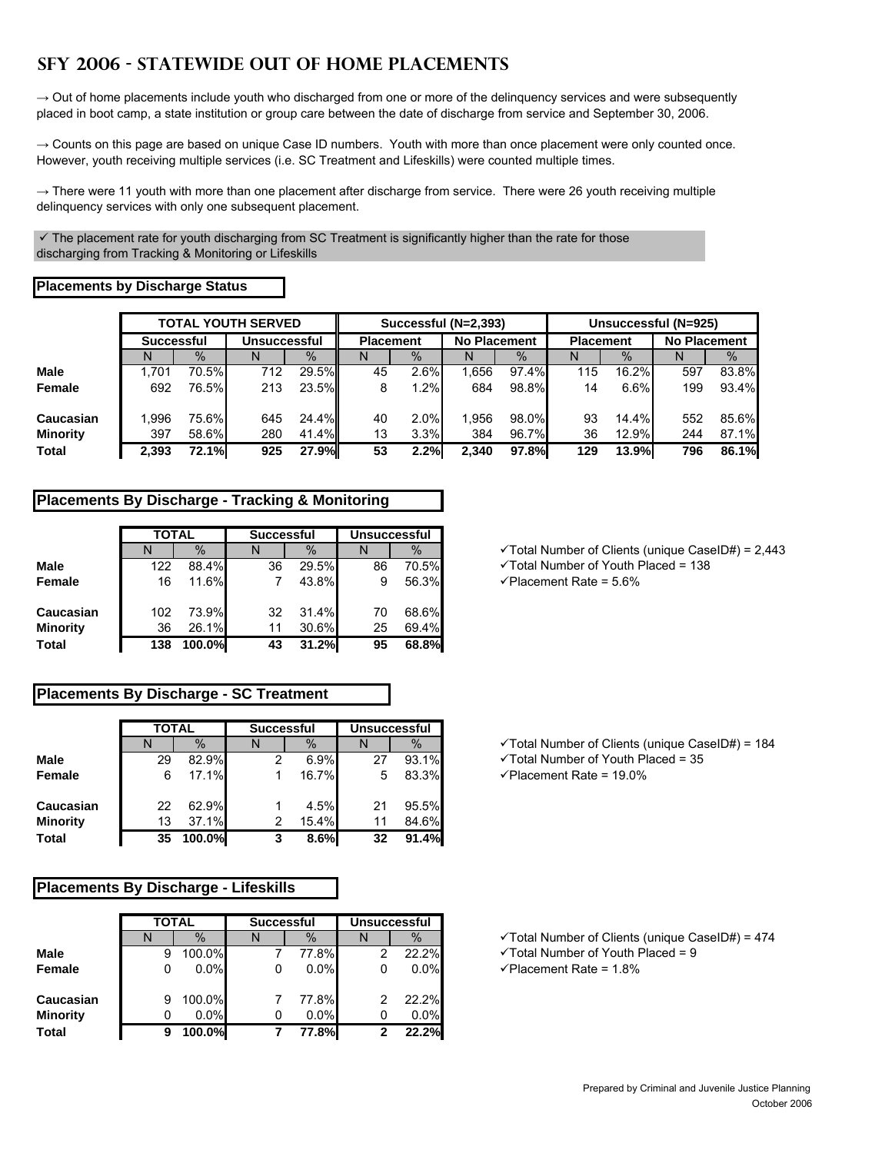# **SFY 2006 - STATEWIDE OUT OF HOME PLACEMENTS**

 $\rightarrow$  Out of home placements include youth who discharged from one or more of the delinquency services and were subsequently placed in boot camp, a state institution or group care between the date of discharge from service and September 30, 2006.

 $\rightarrow$  Counts on this page are based on unique Case ID numbers. Youth with more than once placement were only counted once. However, youth receiving multiple services (i.e. SC Treatment and Lifeskills) were counted multiple times.

→ There were 11 youth with more than one placement after discharge from service. There were 26 youth receiving multiple delinquency services with only one subsequent placement.

 $\checkmark$  The placement rate for youth discharging from SC Treatment is significantly higher than the rate for those discharging from Tracking & Monitoring or Lifeskills

### **Placements by Discharge Status**

|                 |                   |        | <b>TOTAL YOUTH SERVED</b> |        |                  |      | Successful (N=2,393) |          |     | Unsuccessful (N=925) |                     |       |
|-----------------|-------------------|--------|---------------------------|--------|------------------|------|----------------------|----------|-----|----------------------|---------------------|-------|
|                 | <b>Successful</b> |        | <b>Unsuccessful</b>       |        | <b>Placement</b> |      | <b>No Placement</b>  |          |     | <b>Placement</b>     | <b>No Placement</b> |       |
|                 | N                 | $\%$   |                           | $\%$   |                  | $\%$ | N                    | $\%$     | N   | $\%$                 | IN                  | $\%$  |
| <b>Male</b>     | 1.701             | 70.5%  | 712                       | 29.5%  | 45               | 2.6% | .656                 | $97.4\%$ | 115 | $16.2\%$             | 597                 | 83.8% |
| Female          | 692               | 76.5%l | 213                       | 23.5%  | 8                | 1.2% | 684                  | 98.8%    | 14  | 6.6%                 | 199                 | 93.4% |
| Caucasian       | 1.996             | 75.6%l | 645                       | 24.4%  | 40               | 2.0% | .956                 | 98.0%    | 93  | $14.4\%$             | 552                 | 85.6% |
| <b>Minority</b> | 397               | 58.6%  | 280                       | 41.4%  | 13               | 3.3% | 384                  | 96.7%    | 36  | 12.9%                | 244                 | 87.1% |
| Total           | 2.393             | 72.1%  | 925                       | 27.9%l | 53               | 2.2% | 2.340                | 97.8%    | 129 | <b>13.9%</b>         | 796                 | 86.1% |

# **Placements By Discharge - Tracking & Monitoring**

|                 | <b>TOTAL</b> |        | <b>Successful</b> |       | <b>Unsuccessful</b> |       |  |
|-----------------|--------------|--------|-------------------|-------|---------------------|-------|--|
|                 |              | $\%$   |                   | $\%$  |                     | $\%$  |  |
| Male            | 122          | 88.4%  | 36                | 29.5% | 86                  | 70.5% |  |
| <b>Female</b>   | 16           | 11.6%  |                   | 43.8% | 9                   | 56.3% |  |
| Caucasian       | 102          | 73.9%  | 32                | 31.4% | 70                  | 68.6% |  |
| <b>Minority</b> | 36           | 26.1%  | 11                | 30.6% | 25                  | 69.4% |  |
| <b>Total</b>    | 138          | 100.0% | 43                | 31.2% | 95                  | 68.8% |  |

# **Placements By Discharge - SC Treatment**

|                 | <b>TOTAL</b> |        | <b>Successful</b> |       |    | <b>Unsuccessful</b> |
|-----------------|--------------|--------|-------------------|-------|----|---------------------|
|                 |              | $\%$   |                   | $\%$  |    | $\%$                |
| Male            | 29           | 82.9%  | 2                 | 6.9%  | 27 | 93.1%               |
| <b>Female</b>   | 6            | 17.1%  |                   | 16.7% | 5  | 83.3%               |
| Caucasian       | 22           | 62.9%  |                   | 4.5%  | 21 | 95.5%               |
| <b>Minority</b> | 13           | 37.1%  | 2                 | 15.4% | 11 | 84.6%               |
| <b>Total</b>    | 35           | 100.0% | 3                 | 8.6%  | 32 | 91.4%               |

### **Placements By Discharge - Lifeskills**

|                 | <b>TOTAL</b> |               | <b>Successful</b> |         | <b>Unsuccessful</b> |       |  |  |
|-----------------|--------------|---------------|-------------------|---------|---------------------|-------|--|--|
|                 |              | $\frac{0}{0}$ |                   | $\%$    |                     | $\%$  |  |  |
| Male            | 9            | 100.0%        |                   | 77.8%   | 2                   | 22.2% |  |  |
| Female          | 0            | 0.0%          |                   | $0.0\%$ | 0                   | 0.0%  |  |  |
| Caucasian       | 9            | 100.0%        |                   | 77.8%   | 2                   | 22.2% |  |  |
| <b>Minority</b> | 0            | 0.0%          | 0                 | 0.0%    | 0                   | 0.0%  |  |  |
| <b>Total</b>    | 9            | 100.0%        |                   | 77.8%   | 2                   | 22.2% |  |  |

 $\checkmark$  Total Number of Clients (unique CaseID#) = 2,443

√Total Number of Youth Placed = 138

**Female** 16 11.6% 7 43.8% 9 56.3% 9Placement Rate = 5.6%

 $\checkmark$  Total Number of Clients (unique CaseID#) = 184

√ Total Number of Youth Placed = 35

**Female** 6 17.1% 1 16.7% 5 83.3% 9Placement Rate = 19.0%

 $\checkmark$  Total Number of Clients (unique CaseID#) = 474

√ Total Number of Youth Placed = 9

**Female** 0 0.0% 0 0.0% 0 0.0% 9Placement Rate = 1.8%